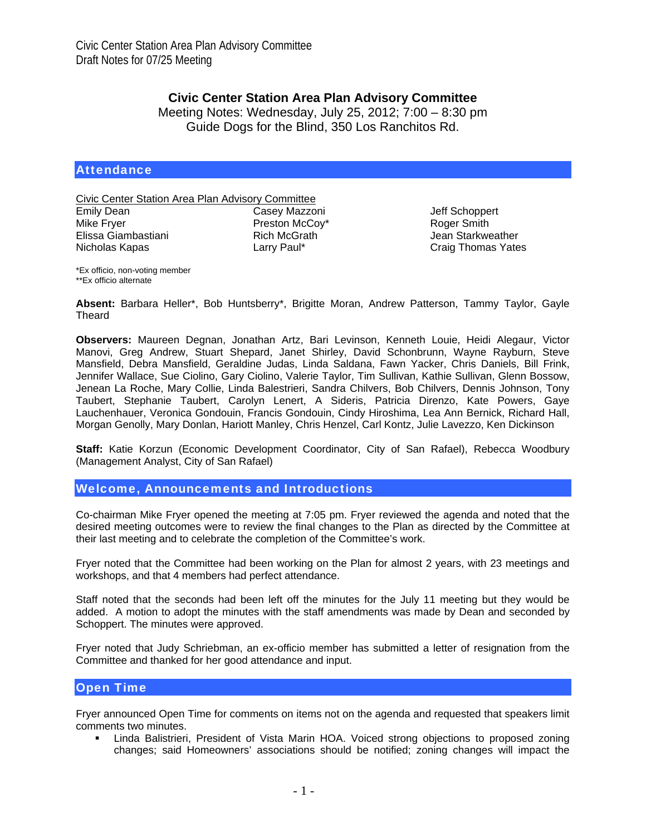## **Civic Center Station Area Plan Advisory Committee**

Meeting Notes: Wednesday, July 25, 2012; 7:00 – 8:30 pm Guide Dogs for the Blind, 350 Los Ranchitos Rd.

#### **Attendance**

Civic Center Station Area Plan Advisory Committee

| Cа  |
|-----|
| Pre |
| Rio |
| La  |
|     |

ısey Mazzoni eston McCov\* ch McGrath rry Paul\*

Jeff Schoppert Roger Smith Jean Starkweather Craig Thomas Yates

\*Ex officio, non-voting member \*\*Ex officio alternate

**Absent:** Barbara Heller\*, Bob Huntsberry\*, Brigitte Moran, Andrew Patterson, Tammy Taylor, Gayle Theard

**Observers:** Maureen Degnan, Jonathan Artz, Bari Levinson, Kenneth Louie, Heidi Alegaur, Victor Manovi, Greg Andrew, Stuart Shepard, Janet Shirley, David Schonbrunn, Wayne Rayburn, Steve Mansfield, Debra Mansfield, Geraldine Judas, Linda Saldana, Fawn Yacker, Chris Daniels, Bill Frink, Jennifer Wallace, Sue Ciolino, Gary Ciolino, Valerie Taylor, Tim Sullivan, Kathie Sullivan, Glenn Bossow, Jenean La Roche, Mary Collie, Linda Balestrieri, Sandra Chilvers, Bob Chilvers, Dennis Johnson, Tony Taubert, Stephanie Taubert, Carolyn Lenert, A Sideris, Patricia Direnzo, Kate Powers, Gaye Lauchenhauer, Veronica Gondouin, Francis Gondouin, Cindy Hiroshima, Lea Ann Bernick, Richard Hall, Morgan Genolly, Mary Donlan, Hariott Manley, Chris Henzel, Carl Kontz, Julie Lavezzo, Ken Dickinson

**Staff:** Katie Korzun (Economic Development Coordinator, City of San Rafael), Rebecca Woodbury (Management Analyst, City of San Rafael)

Welcome, Announcements and Introductions

Co-chairman Mike Fryer opened the meeting at 7:05 pm. Fryer reviewed the agenda and noted that the desired meeting outcomes were to review the final changes to the Plan as directed by the Committee at their last meeting and to celebrate the completion of the Committee's work.

Fryer noted that the Committee had been working on the Plan for almost 2 years, with 23 meetings and workshops, and that 4 members had perfect attendance.

Staff noted that the seconds had been left off the minutes for the July 11 meeting but they would be added. A motion to adopt the minutes with the staff amendments was made by Dean and seconded by Schoppert. The minutes were approved.

Fryer noted that Judy Schriebman, an ex-officio member has submitted a letter of resignation from the Committee and thanked for her good attendance and input.

#### Open Time

Fryer announced Open Time for comments on items not on the agenda and requested that speakers limit comments two minutes.

 Linda Balistrieri, President of Vista Marin HOA. Voiced strong objections to proposed zoning changes; said Homeowners' associations should be notified; zoning changes will impact the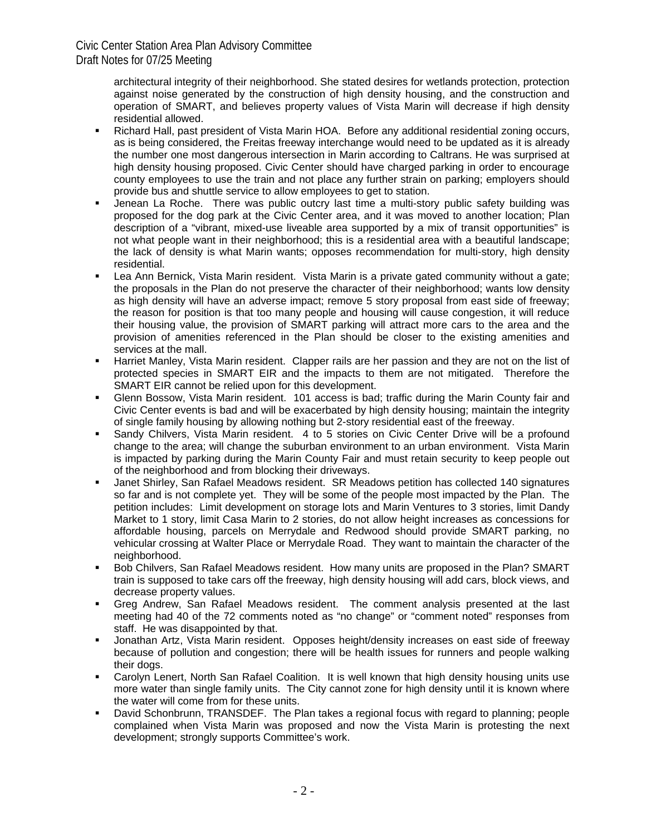> architectural integrity of their neighborhood. She stated desires for wetlands protection, protection against noise generated by the construction of high density housing, and the construction and operation of SMART, and believes property values of Vista Marin will decrease if high density residential allowed.

- Richard Hall, past president of Vista Marin HOA. Before any additional residential zoning occurs, as is being considered, the Freitas freeway interchange would need to be updated as it is already the number one most dangerous intersection in Marin according to Caltrans. He was surprised at high density housing proposed. Civic Center should have charged parking in order to encourage county employees to use the train and not place any further strain on parking; employers should provide bus and shuttle service to allow employees to get to station.
- Jenean La Roche. There was public outcry last time a multi-story public safety building was proposed for the dog park at the Civic Center area, and it was moved to another location; Plan description of a "vibrant, mixed-use liveable area supported by a mix of transit opportunities" is not what people want in their neighborhood; this is a residential area with a beautiful landscape; the lack of density is what Marin wants; opposes recommendation for multi-story, high density residential.
- Lea Ann Bernick, Vista Marin resident. Vista Marin is a private gated community without a gate; the proposals in the Plan do not preserve the character of their neighborhood; wants low density as high density will have an adverse impact; remove 5 story proposal from east side of freeway; the reason for position is that too many people and housing will cause congestion, it will reduce their housing value, the provision of SMART parking will attract more cars to the area and the provision of amenities referenced in the Plan should be closer to the existing amenities and services at the mall.
- Harriet Manley, Vista Marin resident. Clapper rails are her passion and they are not on the list of protected species in SMART EIR and the impacts to them are not mitigated. Therefore the SMART EIR cannot be relied upon for this development.
- Glenn Bossow, Vista Marin resident. 101 access is bad; traffic during the Marin County fair and Civic Center events is bad and will be exacerbated by high density housing; maintain the integrity of single family housing by allowing nothing but 2-story residential east of the freeway.
- Sandy Chilvers, Vista Marin resident. 4 to 5 stories on Civic Center Drive will be a profound change to the area; will change the suburban environment to an urban environment. Vista Marin is impacted by parking during the Marin County Fair and must retain security to keep people out of the neighborhood and from blocking their driveways.
- Janet Shirley, San Rafael Meadows resident. SR Meadows petition has collected 140 signatures so far and is not complete yet. They will be some of the people most impacted by the Plan. The petition includes: Limit development on storage lots and Marin Ventures to 3 stories, limit Dandy Market to 1 story, limit Casa Marin to 2 stories, do not allow height increases as concessions for affordable housing, parcels on Merrydale and Redwood should provide SMART parking, no vehicular crossing at Walter Place or Merrydale Road. They want to maintain the character of the neighborhood.
- Bob Chilvers, San Rafael Meadows resident. How many units are proposed in the Plan? SMART train is supposed to take cars off the freeway, high density housing will add cars, block views, and decrease property values.
- Greg Andrew, San Rafael Meadows resident. The comment analysis presented at the last meeting had 40 of the 72 comments noted as "no change" or "comment noted" responses from staff. He was disappointed by that.
- Jonathan Artz, Vista Marin resident. Opposes height/density increases on east side of freeway because of pollution and congestion; there will be health issues for runners and people walking their dogs.
- Carolyn Lenert, North San Rafael Coalition. It is well known that high density housing units use more water than single family units. The City cannot zone for high density until it is known where the water will come from for these units.
- David Schonbrunn, TRANSDEF. The Plan takes a regional focus with regard to planning; people complained when Vista Marin was proposed and now the Vista Marin is protesting the next development; strongly supports Committee's work.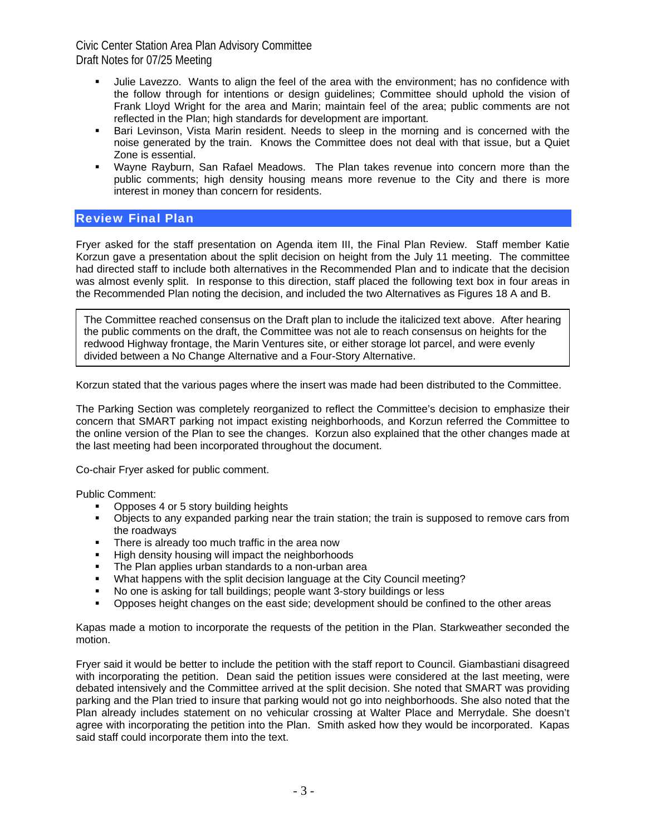- Julie Lavezzo. Wants to align the feel of the area with the environment; has no confidence with the follow through for intentions or design guidelines; Committee should uphold the vision of Frank Lloyd Wright for the area and Marin; maintain feel of the area; public comments are not reflected in the Plan; high standards for development are important.
- Bari Levinson, Vista Marin resident. Needs to sleep in the morning and is concerned with the noise generated by the train. Knows the Committee does not deal with that issue, but a Quiet Zone is essential.
- Wayne Rayburn, San Rafael Meadows. The Plan takes revenue into concern more than the public comments; high density housing means more revenue to the City and there is more interest in money than concern for residents.

## Review Final Plan

Fryer asked for the staff presentation on Agenda item III, the Final Plan Review. Staff member Katie Korzun gave a presentation about the split decision on height from the July 11 meeting. The committee had directed staff to include both alternatives in the Recommended Plan and to indicate that the decision was almost evenly split. In response to this direction, staff placed the following text box in four areas in the Recommended Plan noting the decision, and included the two Alternatives as Figures 18 A and B.

The Committee reached consensus on the Draft plan to include the italicized text above. After hearing the public comments on the draft, the Committee was not ale to reach consensus on heights for the redwood Highway frontage, the Marin Ventures site, or either storage lot parcel, and were evenly divided between a No Change Alternative and a Four-Story Alternative.

Korzun stated that the various pages where the insert was made had been distributed to the Committee.

The Parking Section was completely reorganized to reflect the Committee's decision to emphasize their concern that SMART parking not impact existing neighborhoods, and Korzun referred the Committee to the online version of the Plan to see the changes. Korzun also explained that the other changes made at the last meeting had been incorporated throughout the document.

Co-chair Fryer asked for public comment.

Public Comment:

- Opposes 4 or 5 story building heights
- Objects to any expanded parking near the train station; the train is supposed to remove cars from the roadways
- **There is already too much traffic in the area now**
- **High density housing will impact the neighborhoods**
- **The Plan applies urban standards to a non-urban area**
- What happens with the split decision language at the City Council meeting?
- No one is asking for tall buildings; people want 3-story buildings or less
- **•** Opposes height changes on the east side; development should be confined to the other areas

Kapas made a motion to incorporate the requests of the petition in the Plan. Starkweather seconded the motion.

Fryer said it would be better to include the petition with the staff report to Council. Giambastiani disagreed with incorporating the petition. Dean said the petition issues were considered at the last meeting, were debated intensively and the Committee arrived at the split decision. She noted that SMART was providing parking and the Plan tried to insure that parking would not go into neighborhoods. She also noted that the Plan already includes statement on no vehicular crossing at Walter Place and Merrydale. She doesn't agree with incorporating the petition into the Plan. Smith asked how they would be incorporated. Kapas said staff could incorporate them into the text.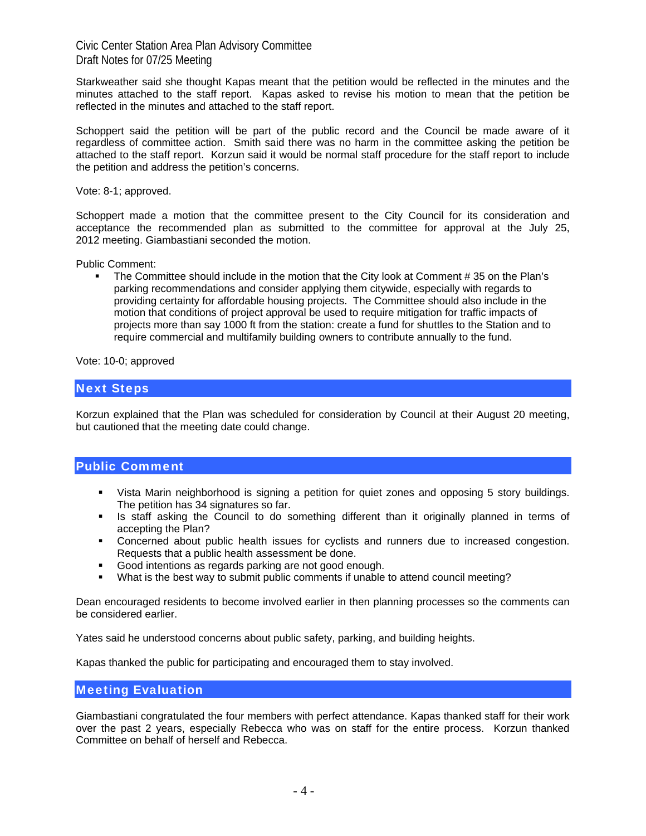Starkweather said she thought Kapas meant that the petition would be reflected in the minutes and the minutes attached to the staff report. Kapas asked to revise his motion to mean that the petition be reflected in the minutes and attached to the staff report.

Schoppert said the petition will be part of the public record and the Council be made aware of it regardless of committee action. Smith said there was no harm in the committee asking the petition be attached to the staff report. Korzun said it would be normal staff procedure for the staff report to include the petition and address the petition's concerns.

Vote: 8-1; approved.

Schoppert made a motion that the committee present to the City Council for its consideration and acceptance the recommended plan as submitted to the committee for approval at the July 25, 2012 meeting. Giambastiani seconded the motion.

Public Comment:

 The Committee should include in the motion that the City look at Comment # 35 on the Plan's parking recommendations and consider applying them citywide, especially with regards to providing certainty for affordable housing projects. The Committee should also include in the motion that conditions of project approval be used to require mitigation for traffic impacts of projects more than say 1000 ft from the station: create a fund for shuttles to the Station and to require commercial and multifamily building owners to contribute annually to the fund.

Vote: 10-0; approved

#### Next Steps

Korzun explained that the Plan was scheduled for consideration by Council at their August 20 meeting, but cautioned that the meeting date could change.

#### Public Comment

- Vista Marin neighborhood is signing a petition for quiet zones and opposing 5 story buildings. The petition has 34 signatures so far.
- **In Staff asking the Council to do something different than it originally planned in terms of** accepting the Plan?
- **•** Concerned about public health issues for cyclists and runners due to increased congestion. Requests that a public health assessment be done.
- Good intentions as regards parking are not good enough.
- What is the best way to submit public comments if unable to attend council meeting?

Dean encouraged residents to become involved earlier in then planning processes so the comments can be considered earlier.

Yates said he understood concerns about public safety, parking, and building heights.

Kapas thanked the public for participating and encouraged them to stay involved.

#### Meeting Evaluation

Giambastiani congratulated the four members with perfect attendance. Kapas thanked staff for their work over the past 2 years, especially Rebecca who was on staff for the entire process. Korzun thanked Committee on behalf of herself and Rebecca.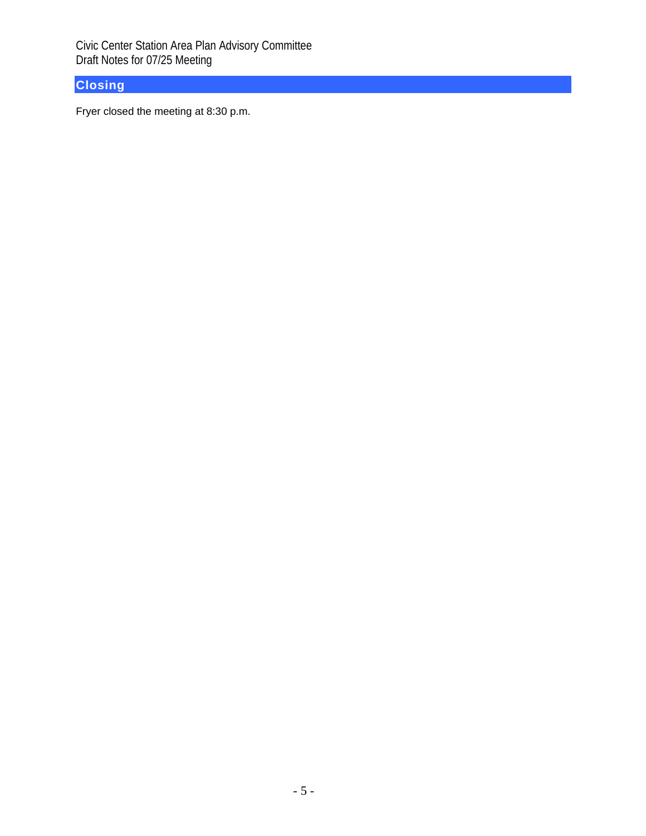# **Closing**

Fryer closed the meeting at 8:30 p.m.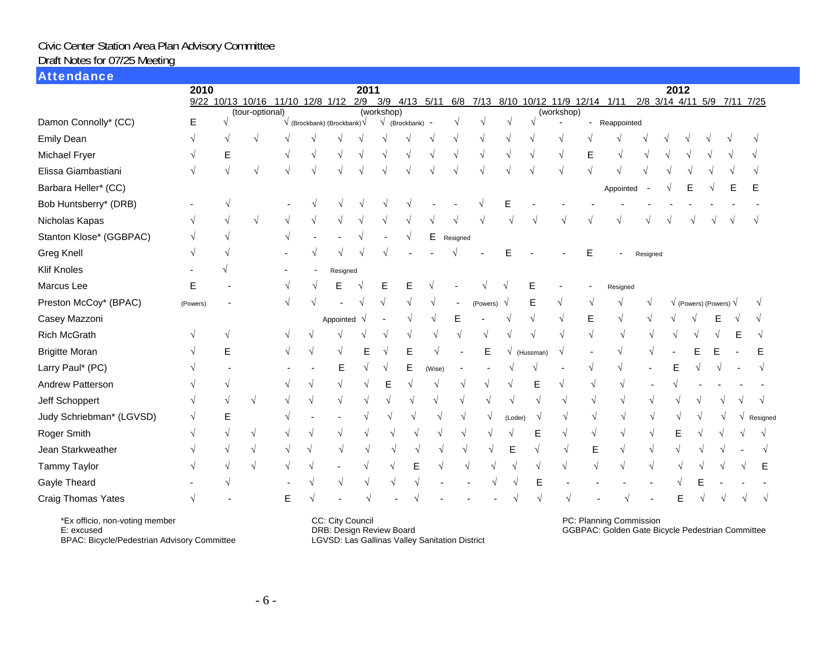#### Attendance

|                          | 2010      |   |                 |                                  |                                             | 2011     |                               |                         |        |          |          |         |           |                                     |   |               |           | 2012                        |   |                                       |   |          |
|--------------------------|-----------|---|-----------------|----------------------------------|---------------------------------------------|----------|-------------------------------|-------------------------|--------|----------|----------|---------|-----------|-------------------------------------|---|---------------|-----------|-----------------------------|---|---------------------------------------|---|----------|
|                          |           |   |                 | 9/22 10/13 10/16 11/10 12/8 1/12 |                                             | 2/9      | 3/9 4/13 5/11                 |                         |        |          |          |         |           | 6/8 7/13 8/10 10/12 11/9 12/14 1/11 |   |               |           | 2/8 3/14 4/11 5/9 7/11 7/25 |   |                                       |   |          |
| Damon Connolly* (CC)     | Е         |   | (tour-optional) |                                  | $\sqrt{}$ (Brockbank) (Brockbank) $\sqrt{}$ |          | $\overline{\text{(working)}}$ | $\sqrt{}$ (Brockbank) - |        |          |          | N       |           | (workshop)                          |   | - Reappointed |           |                             |   |                                       |   |          |
| <b>Emily Dean</b>        | V         |   | ٦               |                                  |                                             |          |                               |                         |        |          |          |         |           |                                     |   |               |           |                             |   |                                       |   |          |
| Michael Fryer            | $\sqrt{}$ | Е |                 |                                  |                                             |          |                               |                         |        |          |          |         |           |                                     | E |               |           |                             |   |                                       |   |          |
| Elissa Giambastiani      |           |   |                 |                                  |                                             |          |                               |                         |        |          |          |         |           |                                     |   |               |           |                             |   |                                       |   |          |
| Barbara Heller* (CC)     |           |   |                 |                                  |                                             |          |                               |                         |        |          |          |         |           |                                     |   | Appointed     |           |                             | Е |                                       | Е |          |
| Bob Huntsberry* (DRB)    |           |   |                 |                                  |                                             |          |                               |                         |        |          |          |         |           |                                     |   |               |           |                             |   |                                       |   |          |
| Nicholas Kapas           |           |   | V               |                                  |                                             |          |                               |                         |        |          |          |         |           |                                     |   |               |           |                             |   |                                       |   |          |
| Stanton Klose* (GGBPAC)  |           |   |                 |                                  |                                             |          |                               |                         | Е      | Resigned |          |         |           |                                     |   |               |           |                             |   |                                       |   |          |
| <b>Greg Knell</b>        | V         |   |                 |                                  |                                             |          |                               |                         |        |          |          |         |           |                                     | E |               | Resigned  |                             |   |                                       |   |          |
| <b>Klif Knoles</b>       |           |   |                 |                                  | Resigned                                    |          |                               |                         |        |          |          |         |           |                                     |   |               |           |                             |   |                                       |   |          |
| Marcus Lee               | Ε         |   |                 |                                  | E                                           |          | Е                             |                         |        |          |          |         | E         |                                     |   | Resigned      |           |                             |   |                                       |   |          |
| Preston McCoy* (BPAC)    | (Powers)  |   |                 |                                  |                                             |          |                               |                         |        |          | (Powers) |         | Е         |                                     |   |               |           |                             |   | $\sqrt{}$ (Powers) (Powers) $\sqrt{}$ |   |          |
| Casey Mazzoni            |           |   |                 |                                  | Appointed                                   | $\gamma$ |                               |                         |        | E        |          |         |           |                                     | Е |               |           |                             |   |                                       |   |          |
| <b>Rich McGrath</b>      |           |   |                 |                                  |                                             |          |                               |                         |        |          |          |         |           |                                     |   |               |           |                             |   |                                       |   |          |
| <b>Brigitte Moran</b>    |           | F |                 |                                  |                                             |          |                               |                         |        |          | E        |         | (Hussman) |                                     |   |               |           |                             |   |                                       |   |          |
| Larry Paul* (PC)         |           |   |                 |                                  |                                             |          |                               | Е                       | (Wise) |          |          |         |           |                                     |   |               |           |                             |   |                                       |   |          |
| Andrew Patterson         |           |   |                 |                                  |                                             |          |                               |                         |        |          |          |         | E         |                                     |   |               |           |                             |   |                                       |   |          |
| Jeff Schoppert           | V         | V | N               |                                  | $\mathcal{N}$                               | ٦        |                               |                         |        |          |          |         |           |                                     |   |               |           |                             |   |                                       |   |          |
| Judy Schriebman* (LGVSD) |           | E |                 |                                  |                                             |          |                               |                         |        |          |          | (Loder) |           |                                     | V |               |           |                             |   |                                       |   | Resigned |
| Roger Smith              |           |   |                 |                                  |                                             |          |                               |                         |        |          |          |         | E         |                                     | V |               |           |                             |   |                                       |   |          |
| Jean Starkweather        |           |   |                 |                                  |                                             |          |                               |                         |        |          |          | E       |           |                                     | E |               | $\sqrt{}$ |                             |   |                                       |   |          |
| <b>Tammy Taylor</b>      |           |   |                 |                                  |                                             |          |                               |                         |        |          |          |         |           |                                     |   |               |           |                             |   |                                       |   | Е        |
| Gayle Theard             |           |   |                 |                                  |                                             |          |                               |                         |        |          |          |         | E         |                                     |   |               |           |                             |   |                                       |   |          |
| Craig Thomas Yates       | V         |   |                 | F                                |                                             |          |                               |                         |        |          |          |         |           |                                     |   |               |           |                             |   |                                       |   |          |

\*Ex officio, non-voting member

E: excused

BPAC: Bicycle/Pedestrian Advisory Committee

CC: City Council DRB: Design Review Board LGVSD: Las Gallinas Valley Sanitation District PC: Planning Commission GGBPAC: Golden Gate Bicycle Pedestrian Committee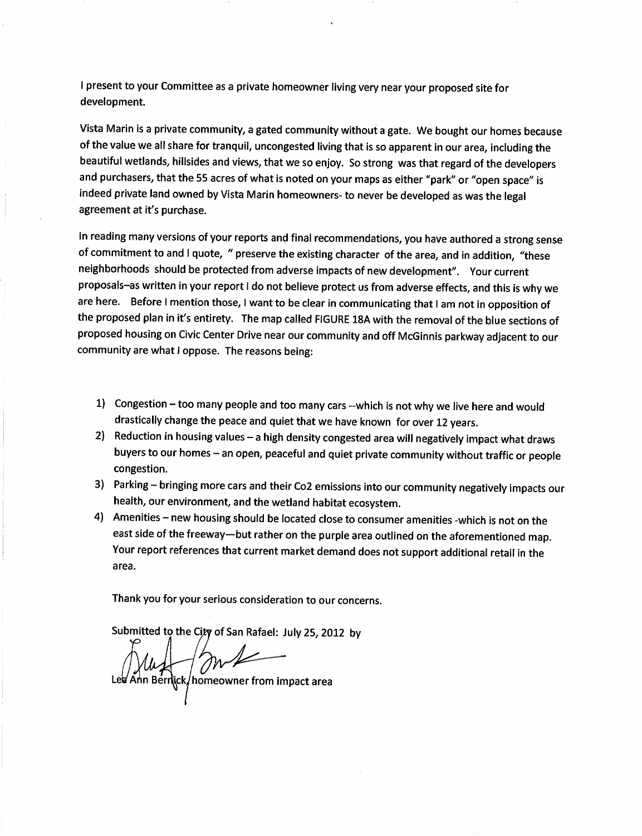I present to your Committee as a private homeowner living very near your proposed site for development.

Vista Marin is a private community, a gated community without a gate. We bought our homes because of the value we all share for tranquil, uncongested living that is so apparent in our area, including the beautiful wetlands, hillsides and views, that we so enjoy. So strong was that regard of the developers and purchasers, that the 55 acres of what is noted on your maps as either "park" or "open space" is indeed private land owned by Vista Marin homeowners- to never be developed as was the legal agreement at it's purchase.

In reading many versions of your reports and final recommendations, you have authored a strong sense of commitment to and I quote, " preserve the existing character of the area, and in addition, "these neighborhoods should be protected from adverse impacts of new development". Your current proposals-as written in your report I do not believe protect us from adverse effects, and this is why we are here. Before I mention those, I want to be clear in communicating that I am not in opposition of the proposed plan in it's entirety. The map called FIGURE 18A with the removal of the blue sections of proposed housing on Civic Center Drive near our community and off McGinnis parkway adjacent to our community are what I oppose. The reasons being:

- 1) Congestion too many people and too many cars --which is not why we live here and would drastically change the peace and quiet that we have known for over 12 years.
- 2) Reduction in housing values a high density congested area will negatively impact what draws buyers to our homes - an open, peaceful and quiet private community without traffic or people congestion.
- 3) Parking bringing more cars and their Co2 emissions into our community negatively impacts our health, our environment, and the wetland habitat ecosystem.
- 4) Amenities new housing should be located close to consumer amenities -which is not on the east side of the freeway—but rather on the purple area outlined on the aforementioned map. Your report references that current market demand does not support additional retail in the area.

Thank you for your serious consideration to our concerns.

Submitted to the City of San Rafael: July 25, 2012 by

XULLER MORE CONTROLLER<br>Inn Bernick/homeowner from impact area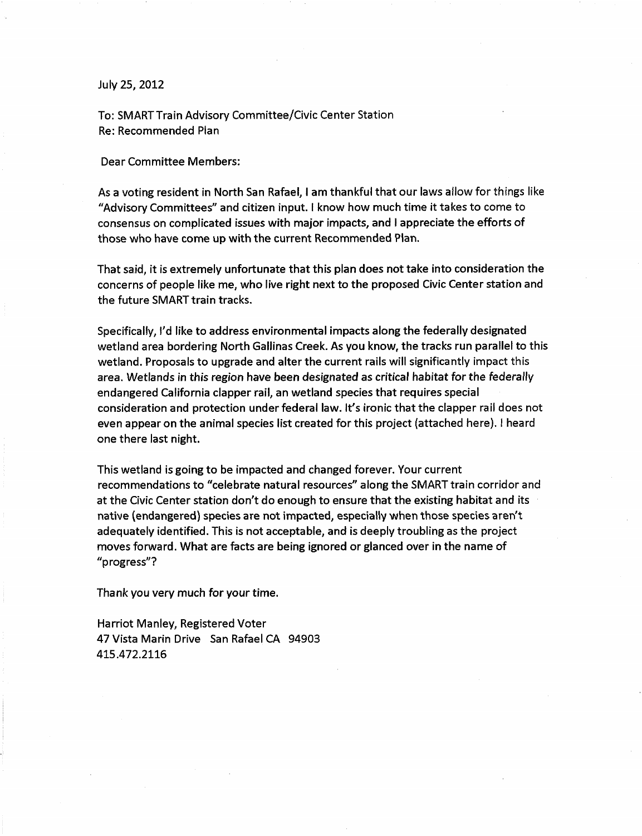#### July 25, 2012

To: SMART Train Advisory Committee/Civic Center Station Re: Recommended Plan

**Dear Committee Members:** 

As a voting resident in North San Rafael, I am thankful that our laws allow for things like "Advisory Committees" and citizen input. I know how much time it takes to come to consensus on complicated issues with major impacts, and I appreciate the efforts of those who have come up with the current Recommended Plan.

That said, it is extremely unfortunate that this plan does not take into consideration the concerns of people like me, who live right next to the proposed Civic Center station and the future SMART train tracks.

Specifically, I'd like to address environmental impacts along the federally designated wetland area bordering North Gallinas Creek. As you know, the tracks run parallel to this wetland. Proposals to upgrade and alter the current rails will significantly impact this area. Wetlands in this region have been designated as critical habitat for the federally endangered California clapper rail, an wetland species that requires special consideration and protection under federal law. It's ironic that the clapper rail does not even appear on the animal species list created for this project (attached here). I heard one there last night.

This wetland is going to be impacted and changed forever. Your current recommendations to "celebrate natural resources" along the SMART train corridor and at the Civic Center station don't do enough to ensure that the existing habitat and its native (endangered) species are not impacted, especially when those species aren't adequately identified. This is not acceptable, and is deeply troubling as the project moves forward. What are facts are being ignored or glanced over in the name of "progress"?

Thank you very much for your time.

Harriot Manley, Registered Voter 47 Vista Marin Drive San Rafael CA 94903 415.472.2116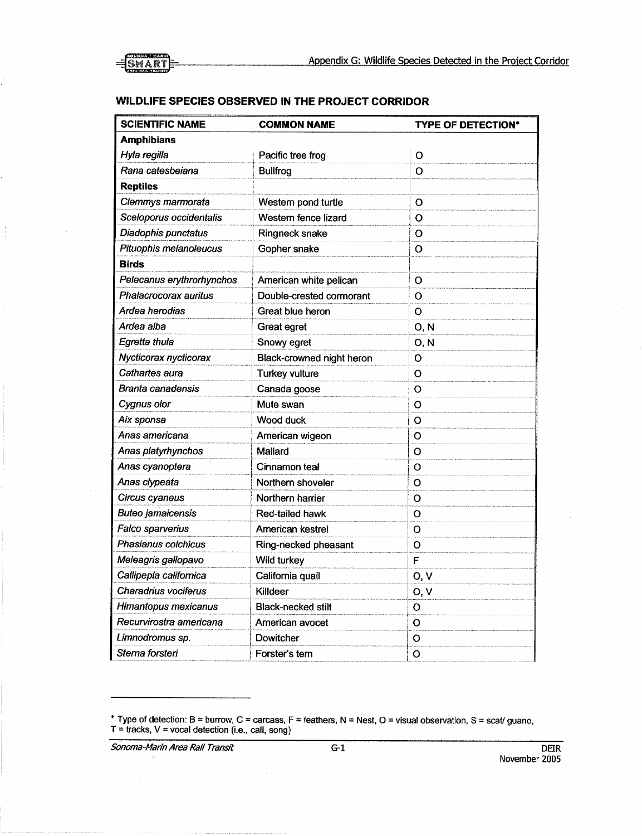

#### WILDLIFE SPECIES OBSERVED IN THE PROJECT CORRIDOR

| <b>SCIENTIFIC NAME</b>    | <b>COMMON NAME</b>        | <b>TYPE OF DETECTION*</b> |
|---------------------------|---------------------------|---------------------------|
| <b>Amphibians</b>         |                           |                           |
| Hyla regilla              | Pacific tree frog         | O                         |
| Rana catesbeiana          | <b>Bullfrog</b>           | O                         |
| <b>Reptiles</b>           |                           |                           |
| Clemmys marmorata         | Western pond turtle       | O                         |
| Sceloporus occidentalis   | Western fence lizard      | o                         |
| Diadophis punctatus       | Ringneck snake            | O                         |
| Pituophis melanoleucus    | Gopher snake              | o                         |
| <b>Birds</b>              |                           |                           |
| Pelecanus erythrorhynchos | American white pelican    | o                         |
| Phalacrocorax auritus     | Double-crested cormorant  | O                         |
| Ardea herodias            | Great blue heron          | O                         |
| Ardea alba                | Great egret               | O, N                      |
| Egretta thula             | Snowy egret               | 0, N                      |
| Nycticorax nycticorax     | Black-crowned night heron | O                         |
| Cathartes aura            | Turkey vulture            | O                         |
| Branta canadensis         | Canada goose              | O                         |
| Cygnus olor               | Mute swan                 | о                         |
| Aix sponsa                | Wood duck                 | O                         |
| Anas americana            | American wigeon           | O                         |
| Anas platyrhynchos        | Mallard                   | O                         |
| Anas cyanoptera           | Cinnamon teal             | O                         |
| Anas clypeata             | Northern shoveler         | о                         |
| Circus cyaneus            | Northern harrier          | O                         |
| <b>Buteo jamaicensis</b>  | Red-tailed hawk           | O                         |
| Falco sparverius          | American kestrel          | o                         |
| Phasianus colchicus       | Ring-necked pheasant      | о                         |
| Meleagris gallopavo       | Wild turkey               | F                         |
| Callipepla californica    | California quail          | O, V                      |
| Charadrius vociferus      | Killdeer                  | O, V                      |
| Himantopus mexicanus      | Black-necked stilt        | o                         |
| Recurvirostra americana   | American avocet           | O                         |
| Limnodromus sp.           | Dowitcher                 | o                         |
| Sterna forsteri           | Forster's tern            | O                         |

\* Type of detection: B = burrow, C = carcass, F = feathers, N = Nest, O = visual observation, S = scat/ guano, T = tracks, V = vocal detection (i.e., call, song)

Sonoma-Marin Area Rail Transit